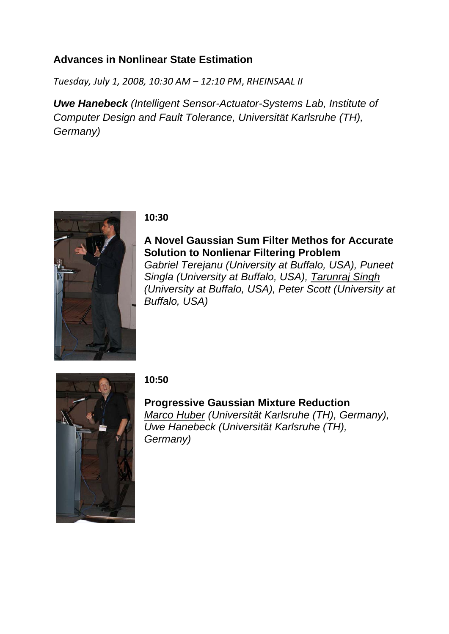## **Advances in Nonlinear State Estimation**

*Tuesday, July 1, 2008, 10:30 AM – 12:10 PM*, *RHEINSAAL II*

*Uwe Hanebeck (Intelligent Sensor-Actuator-Systems Lab, Institute of Computer Design and Fault Tolerance, Universität Karlsruhe (TH), Germany)* 



#### **10:30**

**A Novel Gaussian Sum Filter Methos for Accurate Solution to Nonlienar Filtering Problem** *Gabriel Terejanu (University at Buffalo, USA), Puneet Singla (University at Buffalo, USA), Tarunraj Singh (University at Buffalo, USA), Peter Scott (University at Buffalo, USA)* 



## **10:50**

**Progressive Gaussian Mixture Reduction** *Marco Huber (Universität Karlsruhe (TH), Germany), Uwe Hanebeck (Universität Karlsruhe (TH), Germany)*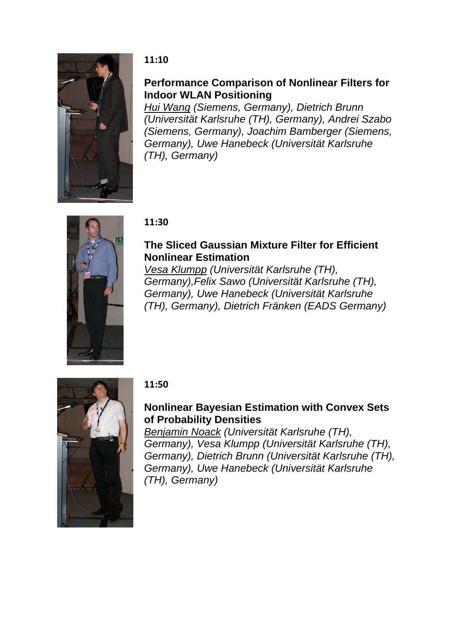

### **11:10**

## **Performance Comparison of Nonlinear Filters for Indoor WLAN Positioning**

*Hui Wang (Siemens, Germany), Dietrich Brunn (Universität Karlsruhe (TH), Germany), Andrei Szabo (Siemens, Germany), Joachim Bamberger (Siemens, Germany), Uwe Hanebeck (Universität Karlsruhe (TH), Germany)* 



### **11:30**

## **The Sliced Gaussian Mixture Filter for Efficient Nonlinear Estimation**

*Vesa Klumpp (Universität Karlsruhe (TH), Germany),Felix Sawo (Universität Karlsruhe (TH), Germany), Uwe Hanebeck (Universität Karlsruhe (TH), Germany), Dietrich Fränken (EADS Germany)* 



## **11:50**

# **Nonlinear Bayesian Estimation with Convex Sets of Probability Densities**

*Benjamin Noack (Universität Karlsruhe (TH), Germany), Vesa Klumpp (Universität Karlsruhe (TH), Germany), Dietrich Brunn (Universität Karlsruhe (TH), Germany), Uwe Hanebeck (Universität Karlsruhe (TH), Germany)*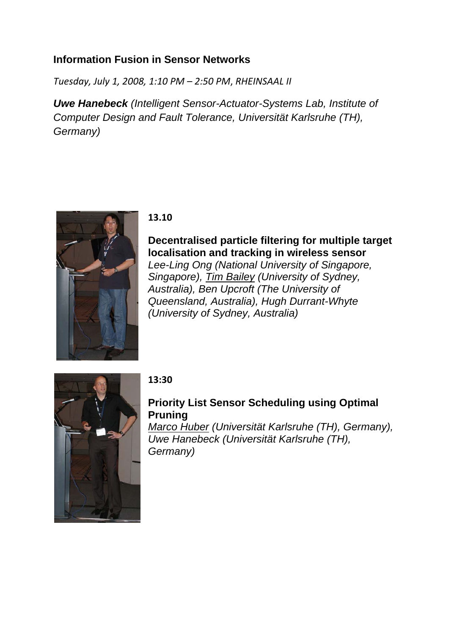## **Information Fusion in Sensor Networks**

*Tuesday, July 1, 2008, 1:10 PM – 2:50 PM*, *RHEINSAAL II*

*Uwe Hanebeck (Intelligent Sensor-Actuator-Systems Lab, Institute of Computer Design and Fault Tolerance, Universität Karlsruhe (TH), Germany)* 



#### **13.10**

**Decentralised particle filtering for multiple target localisation and tracking in wireless sensor** *Lee-Ling Ong (National University of Singapore, Singapore), Tim Bailey (University of Sydney, Australia), Ben Upcroft (The University of Queensland, Australia), Hugh Durrant-Whyte (University of Sydney, Australia)* 



## **13:30**

# **Priority List Sensor Scheduling using Optimal Pruning**

*Marco Huber (Universität Karlsruhe (TH), Germany), Uwe Hanebeck (Universität Karlsruhe (TH), Germany)*